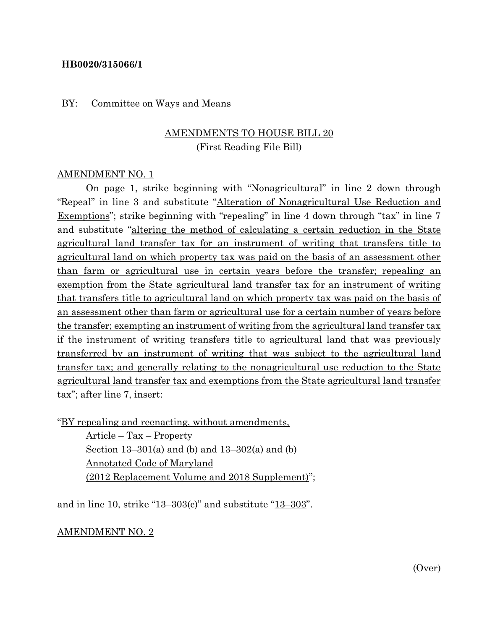### **HB0020/315066/1**

#### BY: Committee on Ways and Means

## AMENDMENTS TO HOUSE BILL 20 (First Reading File Bill)

### AMENDMENT NO. 1

On page 1, strike beginning with "Nonagricultural" in line 2 down through "Repeal" in line 3 and substitute "Alteration of Nonagricultural Use Reduction and Exemptions"; strike beginning with "repealing" in line 4 down through "tax" in line 7 and substitute "altering the method of calculating a certain reduction in the State agricultural land transfer tax for an instrument of writing that transfers title to agricultural land on which property tax was paid on the basis of an assessment other than farm or agricultural use in certain years before the transfer; repealing an exemption from the State agricultural land transfer tax for an instrument of writing that transfers title to agricultural land on which property tax was paid on the basis of an assessment other than farm or agricultural use for a certain number of years before the transfer; exempting an instrument of writing from the agricultural land transfer tax if the instrument of writing transfers title to agricultural land that was previously transferred by an instrument of writing that was subject to the agricultural land transfer tax; and generally relating to the nonagricultural use reduction to the State agricultural land transfer tax and exemptions from the State agricultural land transfer tax"; after line 7, insert:

"BY repealing and reenacting, without amendments,

Article – Tax – Property Section  $13-301(a)$  and (b) and  $13-302(a)$  and (b) Annotated Code of Maryland (2012 Replacement Volume and 2018 Supplement)";

and in line 10, strike "13–303(c)" and substitute "13–303".

AMENDMENT NO. 2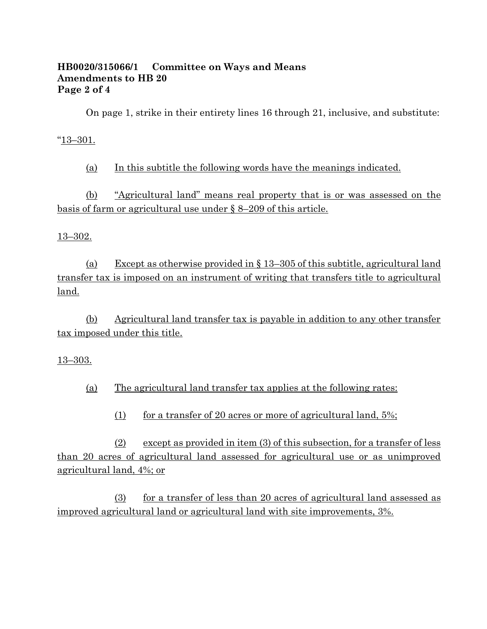### **HB0020/315066/1 Committee on Ways and Means Amendments to HB 20 Page 2 of 4**

On page 1, strike in their entirety lines 16 through 21, inclusive, and substitute:

"13–301.

(a) In this subtitle the following words have the meanings indicated.

(b) "Agricultural land" means real property that is or was assessed on the basis of farm or agricultural use under § 8–209 of this article.

13–302.

(a) Except as otherwise provided in § 13–305 of this subtitle, agricultural land transfer tax is imposed on an instrument of writing that transfers title to agricultural land.

(b) Agricultural land transfer tax is payable in addition to any other transfer tax imposed under this title.

#### 13–303.

(a) The agricultural land transfer tax applies at the following rates:

(1) for a transfer of 20 acres or more of agricultural land, 5%;

 $(2)$  except as provided in item (3) of this subsection, for a transfer of less than 20 acres of agricultural land assessed for agricultural use or as unimproved agricultural land, 4%; or

(3) for a transfer of less than 20 acres of agricultural land assessed as improved agricultural land or agricultural land with site improvements, 3%.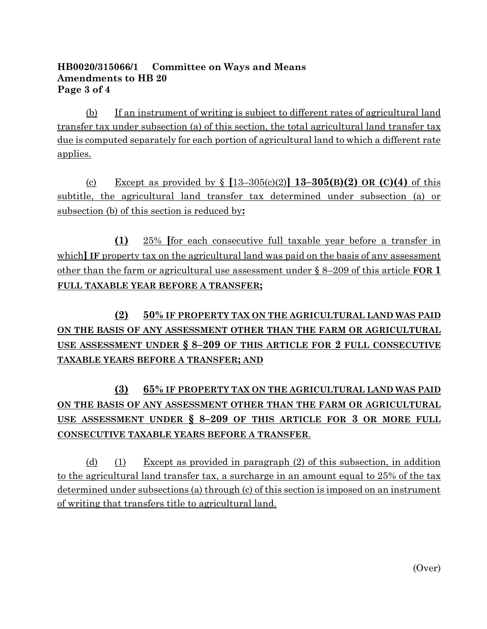### **HB0020/315066/1 Committee on Ways and Means Amendments to HB 20 Page 3 of 4**

(b) If an instrument of writing is subject to different rates of agricultural land transfer tax under subsection (a) of this section, the total agricultural land transfer tax due is computed separately for each portion of agricultural land to which a different rate applies.

(c) Except as provided by § **[**13–305(c)(2)**] 13–305(B)(2) OR (C)(4)** of this subtitle, the agricultural land transfer tax determined under subsection (a) or subsection (b) of this section is reduced by**:**

**(1)** 25% **[**for each consecutive full taxable year before a transfer in which**] IF** property tax on the agricultural land was paid on the basis of any assessment other than the farm or agricultural use assessment under § 8–209 of this article **FOR 1 FULL TAXABLE YEAR BEFORE A TRANSFER;**

# **(2) 50% IF PROPERTY TAX ON THE AGRICULTURAL LAND WAS PAID ON THE BASIS OF ANY ASSESSMENT OTHER THAN THE FARM OR AGRICULTURAL USE ASSESSMENT UNDER § 8–209 OF THIS ARTICLE FOR 2 FULL CONSECUTIVE TAXABLE YEARS BEFORE A TRANSFER; AND**

# **(3) 65% IF PROPERTY TAX ON THE AGRICULTURAL LAND WAS PAID ON THE BASIS OF ANY ASSESSMENT OTHER THAN THE FARM OR AGRICULTURAL USE ASSESSMENT UNDER § 8–209 OF THIS ARTICLE FOR 3 OR MORE FULL CONSECUTIVE TAXABLE YEARS BEFORE A TRANSFER**.

(d) (1) Except as provided in paragraph (2) of this subsection, in addition to the agricultural land transfer tax, a surcharge in an amount equal to 25% of the tax determined under subsections (a) through (c) of this section is imposed on an instrument of writing that transfers title to agricultural land.